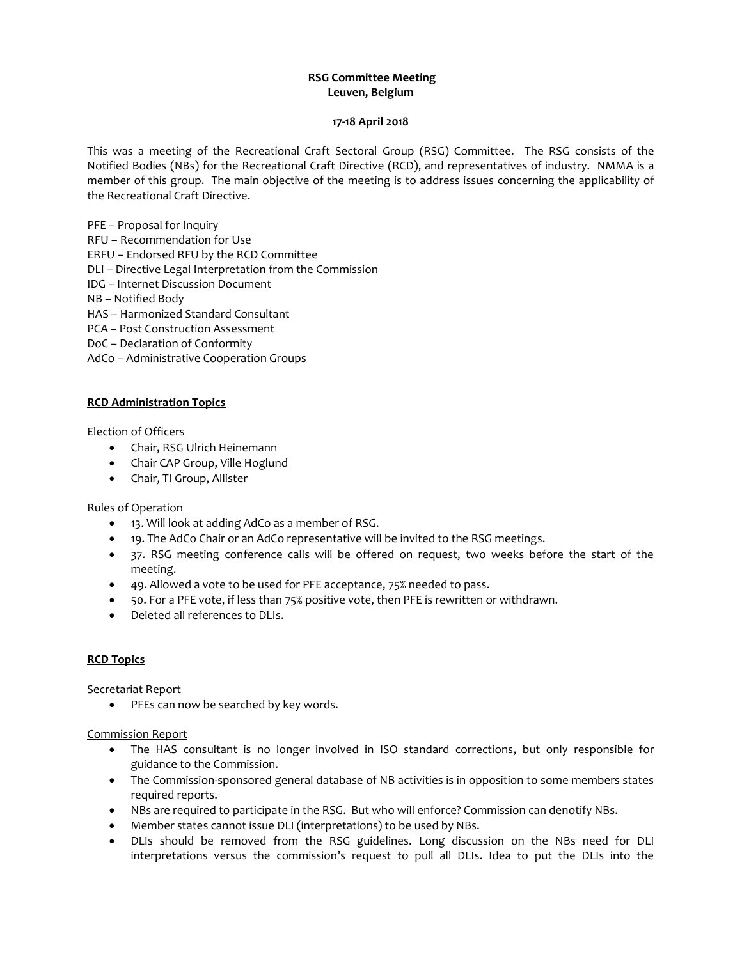# **RSG Committee Meeting Leuven, Belgium**

#### **17-18 April 2018**

This was a meeting of the Recreational Craft Sectoral Group (RSG) Committee. The RSG consists of the Notified Bodies (NBs) for the Recreational Craft Directive (RCD), and representatives of industry. NMMA is a member of this group. The main objective of the meeting is to address issues concerning the applicability of the Recreational Craft Directive.

PFE – Proposal for Inquiry

RFU – Recommendation for Use

ERFU – Endorsed RFU by the RCD Committee

DLI – Directive Legal Interpretation from the Commission

IDG – Internet Discussion Document

NB – Notified Body

HAS – Harmonized Standard Consultant

PCA – Post Construction Assessment

DoC – Declaration of Conformity

AdCo – Administrative Cooperation Groups

### **RCD Administration Topics**

#### Election of Officers

- Chair, RSG Ulrich Heinemann
- Chair CAP Group, Ville Hoglund
- Chair, TI Group, Allister

### Rules of Operation

- 13. Will look at adding AdCo as a member of RSG.
- 19. The AdCo Chair or an AdCo representative will be invited to the RSG meetings.
- 37. RSG meeting conference calls will be offered on request, two weeks before the start of the meeting.
- 49. Allowed a vote to be used for PFE acceptance, 75% needed to pass.
- 50. For a PFE vote, if less than 75% positive vote, then PFE is rewritten or withdrawn.
- Deleted all references to DLIs.

### **RCD Topics**

Secretariat Report

• PFEs can now be searched by key words.

### Commission Report

- The HAS consultant is no longer involved in ISO standard corrections, but only responsible for guidance to the Commission.
- The Commission-sponsored general database of NB activities is in opposition to some members states required reports.
- NBs are required to participate in the RSG. But who will enforce? Commission can denotify NBs.
- Member states cannot issue DLI (interpretations) to be used by NBs.
- DLIs should be removed from the RSG guidelines. Long discussion on the NBs need for DLI interpretations versus the commission's request to pull all DLIs. Idea to put the DLIs into the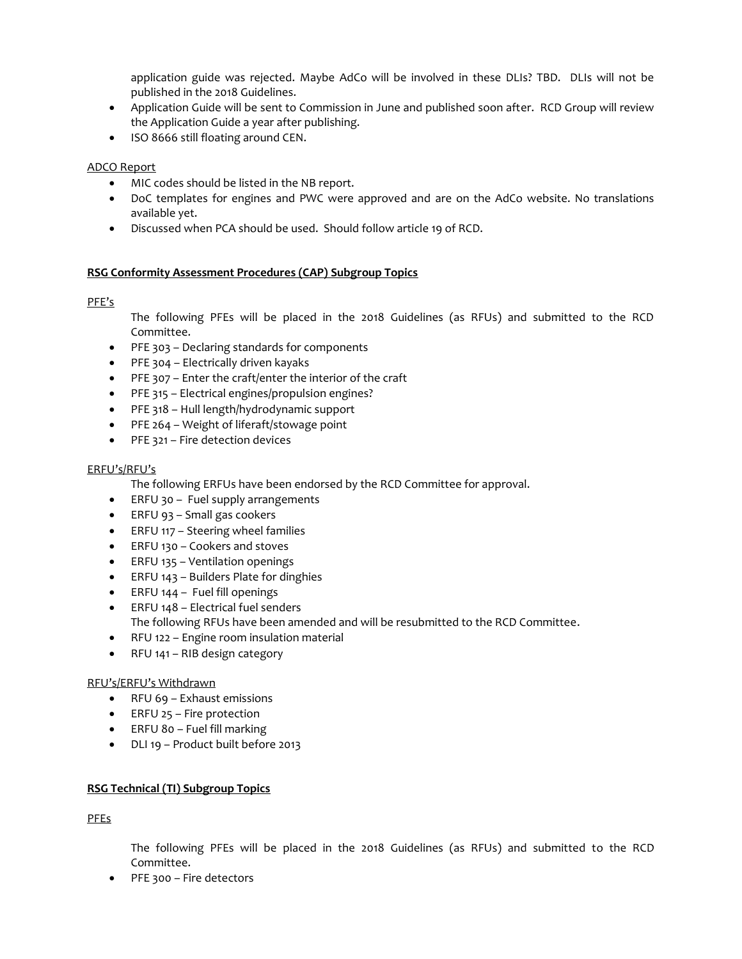application guide was rejected. Maybe AdCo will be involved in these DLIs? TBD. DLIs will not be published in the 2018 Guidelines.

- Application Guide will be sent to Commission in June and published soon after. RCD Group will review the Application Guide a year after publishing.
- ISO 8666 still floating around CEN.

### ADCO Report

- MIC codes should be listed in the NB report.
- DoC templates for engines and PWC were approved and are on the AdCo website. No translations available yet.
- Discussed when PCA should be used. Should follow article 19 of RCD.

### **RSG Conformity Assessment Procedures (CAP) Subgroup Topics**

# PFE's

The following PFEs will be placed in the 2018 Guidelines (as RFUs) and submitted to the RCD Committee.

- PFE 303 Declaring standards for components
- PFE 304 Electrically driven kayaks
- PFE 307 Enter the craft/enter the interior of the craft
- PFE 315 Electrical engines/propulsion engines?
- PFE 318 Hull length/hydrodynamic support
- PFE 264 Weight of liferaft/stowage point
- PFE 321 Fire detection devices

### ERFU's/RFU's

The following ERFUs have been endorsed by the RCD Committee for approval.

- ERFU 30 Fuel supply arrangements
- ERFU 93 Small gas cookers
- ERFU 117 Steering wheel families
- ERFU 130 Cookers and stoves
- ERFU 135 Ventilation openings
- ERFU 143 Builders Plate for dinghies
- ERFU 144 Fuel fill openings
- ERFU 148 Electrical fuel senders The following RFUs have been amended and will be resubmitted to the RCD Committee.
- RFU 122 Engine room insulation material
- RFU 141 RIB design category

### RFU's/ERFU's Withdrawn

- RFU 69 Exhaust emissions
- ERFU 25 Fire protection
- ERFU 80 Fuel fill marking
- DLI 19 Product built before 2013

### **RSG Technical (TI) Subgroup Topics**

PFEs

The following PFEs will be placed in the 2018 Guidelines (as RFUs) and submitted to the RCD Committee.

● PFE 300 – Fire detectors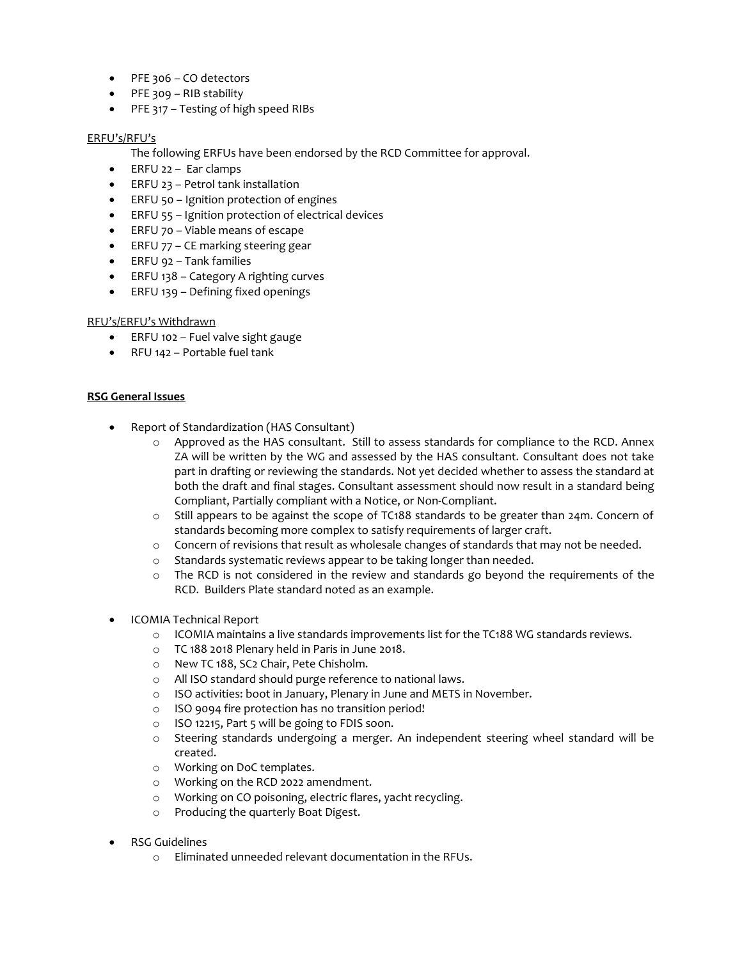- PFE 306 CO detectors
- PFE 309 RIB stability
- PFE 317 Testing of high speed RIBs

### ERFU's/RFU's

- The following ERFUs have been endorsed by the RCD Committee for approval.
- ERFU 22 Ear clamps
- ERFU 23 Petrol tank installation
- ERFU 50 Ignition protection of engines
- ERFU 55 Ignition protection of electrical devices
- ERFU 70 Viable means of escape
- ERFU 77 CE marking steering gear
- ERFU 92 Tank families
- ERFU 138 Category A righting curves
- ERFU 139 Defining fixed openings

# RFU's/ERFU's Withdrawn

- ERFU 102 Fuel valve sight gauge
- RFU 142 Portable fuel tank

# **RSG General Issues**

- Report of Standardization (HAS Consultant)
	- o Approved as the HAS consultant. Still to assess standards for compliance to the RCD. Annex ZA will be written by the WG and assessed by the HAS consultant. Consultant does not take part in drafting or reviewing the standards. Not yet decided whether to assess the standard at both the draft and final stages. Consultant assessment should now result in a standard being Compliant, Partially compliant with a Notice, or Non-Compliant.
	- $\circ$  Still appears to be against the scope of TC188 standards to be greater than 24m. Concern of standards becoming more complex to satisfy requirements of larger craft.
	- o Concern of revisions that result as wholesale changes of standards that may not be needed.
	- o Standards systematic reviews appear to be taking longer than needed.
	- $\circ$  The RCD is not considered in the review and standards go beyond the requirements of the RCD. Builders Plate standard noted as an example.
- ICOMIA Technical Report
	- o ICOMIA maintains a live standards improvements list for the TC188 WG standards reviews.
	- o TC 188 2018 Plenary held in Paris in June 2018.
	- o New TC 188, SC2 Chair, Pete Chisholm.
	- o All ISO standard should purge reference to national laws.
	- o ISO activities: boot in January, Plenary in June and METS in November.
	- o ISO 9094 fire protection has no transition period!
	- o ISO 12215, Part 5 will be going to FDIS soon.
	- o Steering standards undergoing a merger. An independent steering wheel standard will be created.
	- o Working on DoC templates.
	- o Working on the RCD 2022 amendment.
	- o Working on CO poisoning, electric flares, yacht recycling.
	- o Producing the quarterly Boat Digest.
- RSG Guidelines
	- o Eliminated unneeded relevant documentation in the RFUs.